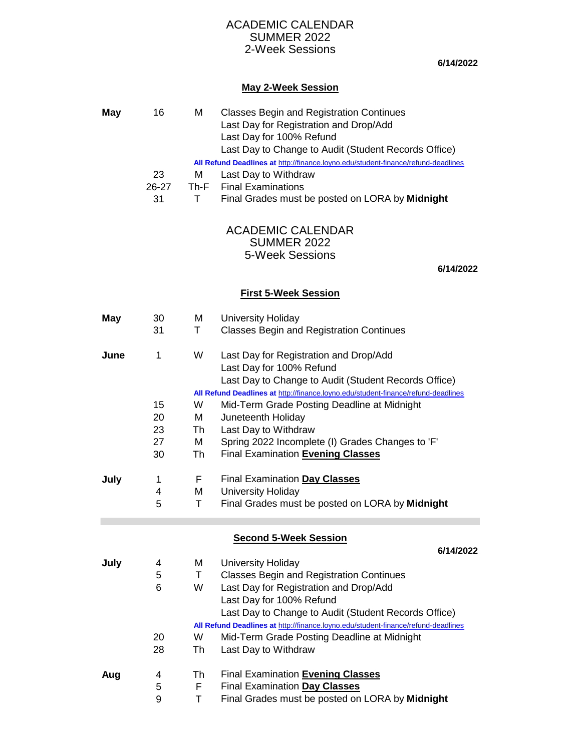### SUMMER 2022 2-Week Sessions ACADEMIC CALENDAR

**6/14/2022**

# **May 2-Week Session**

| May  | 16                                                                                | M    | <b>Classes Begin and Registration Continues</b><br>Last Day for Registration and Drop/Add |  |  |  |  |
|------|-----------------------------------------------------------------------------------|------|-------------------------------------------------------------------------------------------|--|--|--|--|
|      |                                                                                   |      | Last Day for 100% Refund                                                                  |  |  |  |  |
|      |                                                                                   |      | Last Day to Change to Audit (Student Records Office)                                      |  |  |  |  |
|      | All Refund Deadlines at http://finance.loyno.edu/student-finance/refund-deadlines |      |                                                                                           |  |  |  |  |
|      | 23                                                                                | М    | Last Day to Withdraw                                                                      |  |  |  |  |
|      | 26-27                                                                             | Th-F | <b>Final Examinations</b>                                                                 |  |  |  |  |
|      | 31                                                                                | Τ    | Final Grades must be posted on LORA by Midnight                                           |  |  |  |  |
|      |                                                                                   |      |                                                                                           |  |  |  |  |
|      |                                                                                   |      | <b>ACADEMIC CALENDAR</b>                                                                  |  |  |  |  |
|      |                                                                                   |      | <b>SUMMER 2022</b>                                                                        |  |  |  |  |
|      |                                                                                   |      | 5-Week Sessions                                                                           |  |  |  |  |
|      |                                                                                   |      | 6/14/2022                                                                                 |  |  |  |  |
|      |                                                                                   |      | <b>First 5-Week Session</b>                                                               |  |  |  |  |
| May  | 30                                                                                | м    | University Holiday                                                                        |  |  |  |  |
|      | 31                                                                                | T.   | <b>Classes Begin and Registration Continues</b>                                           |  |  |  |  |
|      |                                                                                   |      |                                                                                           |  |  |  |  |
| June | 1                                                                                 | W    | Last Day for Registration and Drop/Add                                                    |  |  |  |  |
|      |                                                                                   |      | Last Day for 100% Refund                                                                  |  |  |  |  |
|      |                                                                                   |      | Last Day to Change to Audit (Student Records Office)                                      |  |  |  |  |
|      |                                                                                   |      | All Refund Deadlines at http://finance.loyno.edu/student-finance/refund-deadlines         |  |  |  |  |
|      | 15                                                                                | W    | Mid-Term Grade Posting Deadline at Midnight                                               |  |  |  |  |
|      | 20                                                                                | М    | Juneteenth Holiday                                                                        |  |  |  |  |
|      | 23                                                                                | Th   | Last Day to Withdraw                                                                      |  |  |  |  |
|      | 27                                                                                | М    | Spring 2022 Incomplete (I) Grades Changes to 'F'                                          |  |  |  |  |
|      | 30                                                                                | Th   | Final Examination Evening Classes                                                         |  |  |  |  |
| July | 1                                                                                 | F.   | <b>Final Examination Day Classes</b>                                                      |  |  |  |  |
|      | 4                                                                                 | М    | <b>University Holiday</b>                                                                 |  |  |  |  |
|      | 5                                                                                 | Τ    | Final Grades must be posted on LORA by Midnight                                           |  |  |  |  |
|      |                                                                                   |      |                                                                                           |  |  |  |  |
|      |                                                                                   |      | <b>Second 5-Week Session</b>                                                              |  |  |  |  |
|      |                                                                                   | м    | 6/14/2022                                                                                 |  |  |  |  |
| July | 4<br>5                                                                            | T.   | University Holiday<br><b>Classes Begin and Registration Continues</b>                     |  |  |  |  |
|      | 6                                                                                 | W    | Last Day for Registration and Drop/Add                                                    |  |  |  |  |
|      |                                                                                   |      | Last Day for 100% Refund                                                                  |  |  |  |  |
|      |                                                                                   |      | Last Day to Change to Audit (Student Records Office)                                      |  |  |  |  |
|      | All Refund Deadlines at http://finance.loyno.edu/student-finance/refund-deadlines |      |                                                                                           |  |  |  |  |
|      | 20                                                                                | W    | Mid-Term Grade Posting Deadline at Midnight                                               |  |  |  |  |
|      | 28                                                                                | Th   | Last Day to Withdraw                                                                      |  |  |  |  |
| Aug  | 4                                                                                 | Th   | Final Examination Evening Classes                                                         |  |  |  |  |
|      | 5                                                                                 | F.   | Final Examination Day Classes                                                             |  |  |  |  |
|      | 9                                                                                 | Τ    | Final Grades must be posted on LORA by Midnight                                           |  |  |  |  |
|      |                                                                                   |      |                                                                                           |  |  |  |  |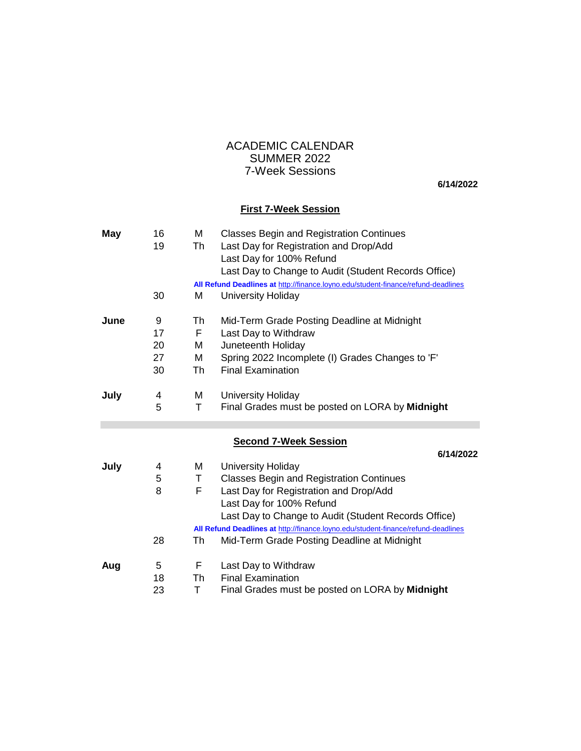## 7-Week Sessions ACADEMIC CALENDAR SUMMER 2022

**6/14/2022**

#### **First 7-Week Session**

| <b>May</b> | 16 | М  | <b>Classes Begin and Registration Continues</b>                                   |
|------------|----|----|-----------------------------------------------------------------------------------|
|            | 19 | Th | Last Day for Registration and Drop/Add                                            |
|            |    |    | Last Day for 100% Refund                                                          |
|            |    |    | Last Day to Change to Audit (Student Records Office)                              |
|            |    |    | All Refund Deadlines at http://finance.loyno.edu/student-finance/refund-deadlines |
|            | 30 | Μ  | University Holiday                                                                |
| June       | 9  | Th | Mid-Term Grade Posting Deadline at Midnight                                       |
|            | 17 | F. | Last Day to Withdraw                                                              |
|            | 20 | м  | Juneteenth Holiday                                                                |
|            | 27 | M  | Spring 2022 Incomplete (I) Grades Changes to 'F'                                  |
|            | 30 | Th | <b>Final Examination</b>                                                          |
| July       | 4  | M  | University Holiday                                                                |
|            | 5  | Τ  | Final Grades must be posted on LORA by Midnight                                   |
|            |    |    |                                                                                   |
|            |    |    |                                                                                   |
|            |    |    | <b>Second 7-Week Session</b>                                                      |
|            |    |    | 6/14/2022                                                                         |
| July       | 4  | M  | University Holiday                                                                |
|            | 5  | Τ  | <b>Classes Begin and Registration Continues</b>                                   |
|            | 8  | F  | Last Day for Registration and Drop/Add                                            |
|            |    |    | Last Day for 100% Refund                                                          |
|            |    |    | Last Day to Change to Audit (Student Records Office)                              |
|            |    |    | All Refund Deadlines at http://finance.loyno.edu/student-finance/refund-deadlines |
|            | 28 | Th | Mid-Term Grade Posting Deadline at Midnight                                       |
| Aug        | 5  | F. | Last Day to Withdraw                                                              |
|            | 18 | Th | <b>Final Examination</b><br>Final Grades must be posted on LORA by Midnight       |